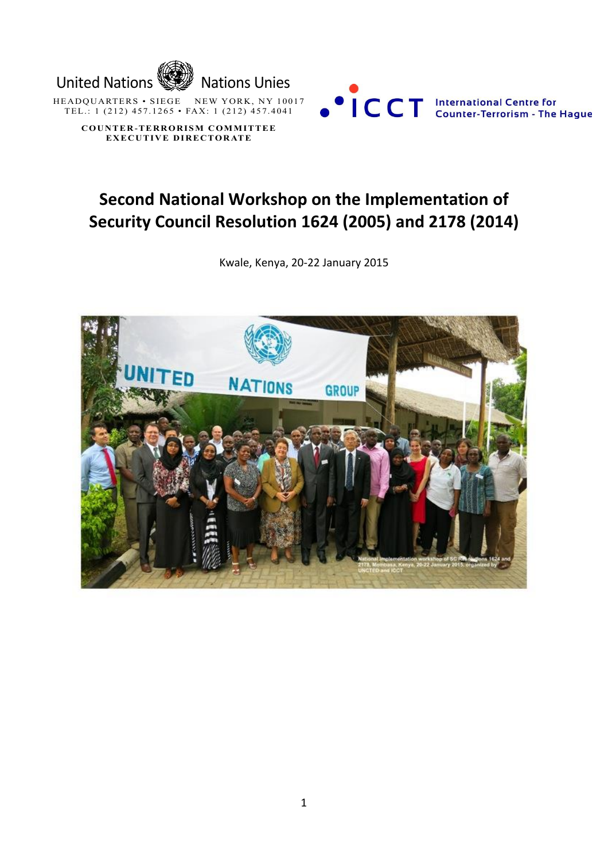

**EXECUTIVE DIRECTORATE** 



# **Second National Workshop on the Implementation of Security Council Resolution 1624 (2005) and 2178 (2014)**

Kwale, Kenya, 20-22 January 2015

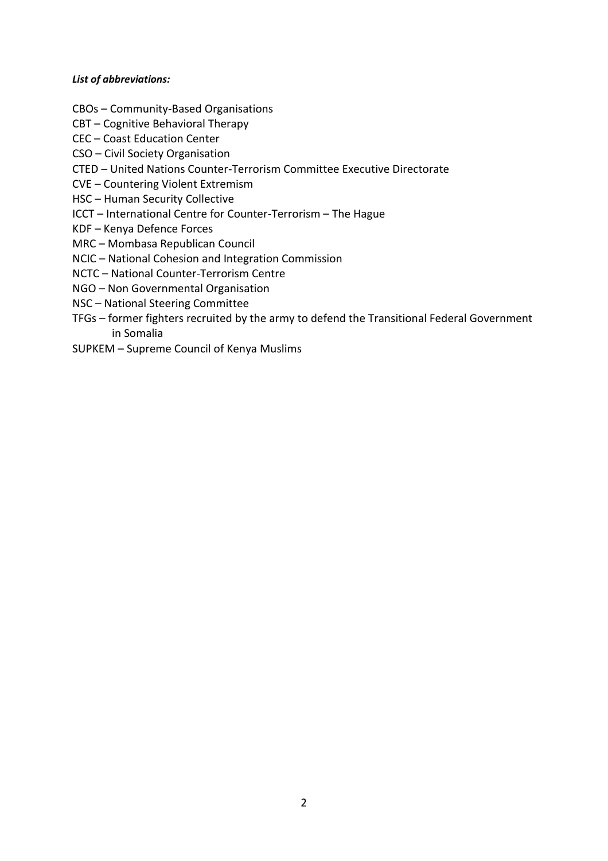## *List of abbreviations:*

- CBOs Community-Based Organisations
- CBT Cognitive Behavioral Therapy
- CEC Coast Education Center
- CSO Civil Society Organisation
- CTED United Nations Counter-Terrorism Committee Executive Directorate
- CVE Countering Violent Extremism
- HSC Human Security Collective
- ICCT International Centre for Counter-Terrorism The Hague
- KDF Kenya Defence Forces
- MRC Mombasa Republican Council
- NCIC National Cohesion and Integration Commission
- NCTC National Counter-Terrorism Centre
- NGO Non Governmental Organisation
- NSC National Steering Committee
- TFGs former fighters recruited by the army to defend the Transitional Federal Government in Somalia
- SUPKEM Supreme Council of Kenya Muslims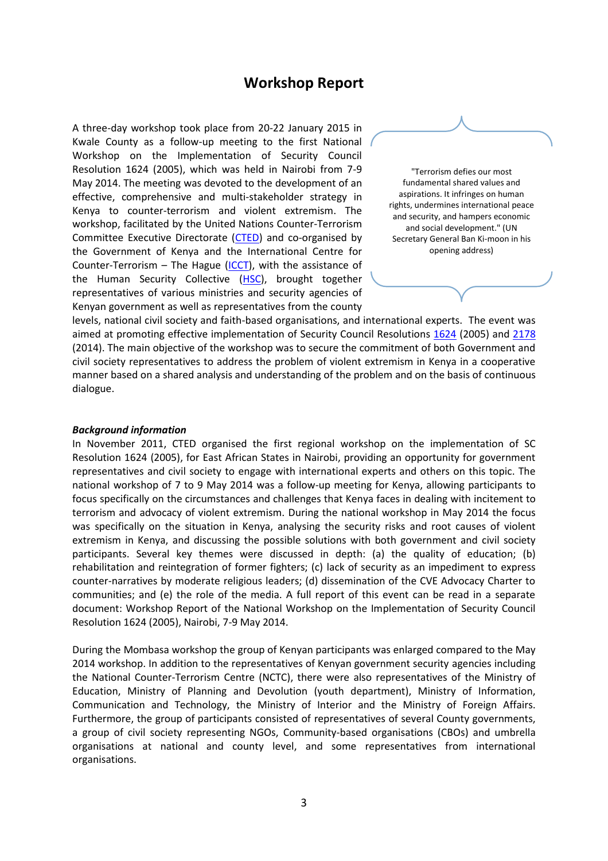## **Workshop Report**

A three-day workshop took place from 20-22 January 2015 in Kwale County as a follow-up meeting to the first National Workshop on the Implementation of Security Council Resolution 1624 (2005), which was held in Nairobi from 7-9 May 2014. The meeting was devoted to the development of an effective, comprehensive and multi-stakeholder strategy in Kenya to counter-terrorism and violent extremism. The workshop, facilitated by the United Nations Counter-Terrorism Committee Executive Directorate [\(CTED\)](http://www.un.org/en/sc/ctc/) and co-organised by the Government of Kenya and the International Centre for Counter-Terrorism – The Hague  $(ICCT)$ , with the assistance of the Human Security Collective [\(HSC\)](http://www.hscollective.org/), brought together representatives of various ministries and security agencies of Kenyan government as well as representatives from the county

"Terrorism defies our most fundamental shared values and aspirations. It infringes on human rights, undermines international peace and security, and hampers economic and social development." (UN Secretary General Ban Ki-moon in his opening address)

levels, national civil society and faith-based organisations, and international experts. The event was aimed at promoting effective implementation of Security Council Resolutions [1624](http://www.un.org/en/sc/ctc/news/2012-08-03_1624.html) (2005) and [2178](http://www.un.org/en/ga/search/view_doc.asp?symbol=S/RES/2178%20(2014)) (2014). The main objective of the workshop was to secure the commitment of both Government and civil society representatives to address the problem of violent extremism in Kenya in a cooperative manner based on a shared analysis and understanding of the problem and on the basis of continuous dialogue.

#### *Background information*

In November 2011, CTED organised the first regional workshop on the implementation of SC Resolution 1624 (2005), for East African States in Nairobi, providing an opportunity for government representatives and civil society to engage with international experts and others on this topic. The national workshop of 7 to 9 May 2014 was a follow-up meeting for Kenya, allowing participants to focus specifically on the circumstances and challenges that Kenya faces in dealing with incitement to terrorism and advocacy of violent extremism. During the national workshop in May 2014 the focus was specifically on the situation in Kenya, analysing the security risks and root causes of violent extremism in Kenya, and discussing the possible solutions with both government and civil society participants. Several key themes were discussed in depth: (a) the quality of education; (b) rehabilitation and reintegration of former fighters; (c) lack of security as an impediment to express counter-narratives by moderate religious leaders; (d) dissemination of the CVE Advocacy Charter to communities; and (e) the role of the media. A full report of this event can be read in a separate document: Workshop Report of the National Workshop on the Implementation of Security Council Resolution 1624 (2005), Nairobi, 7-9 May 2014.

During the Mombasa workshop the group of Kenyan participants was enlarged compared to the May 2014 workshop. In addition to the representatives of Kenyan government security agencies including the National Counter-Terrorism Centre (NCTC), there were also representatives of the Ministry of Education, Ministry of Planning and Devolution (youth department), Ministry of Information, Communication and Technology, the Ministry of Interior and the Ministry of Foreign Affairs. Furthermore, the group of participants consisted of representatives of several County governments, a group of civil society representing NGOs, Community-based organisations (CBOs) and umbrella organisations at national and county level, and some representatives from international organisations.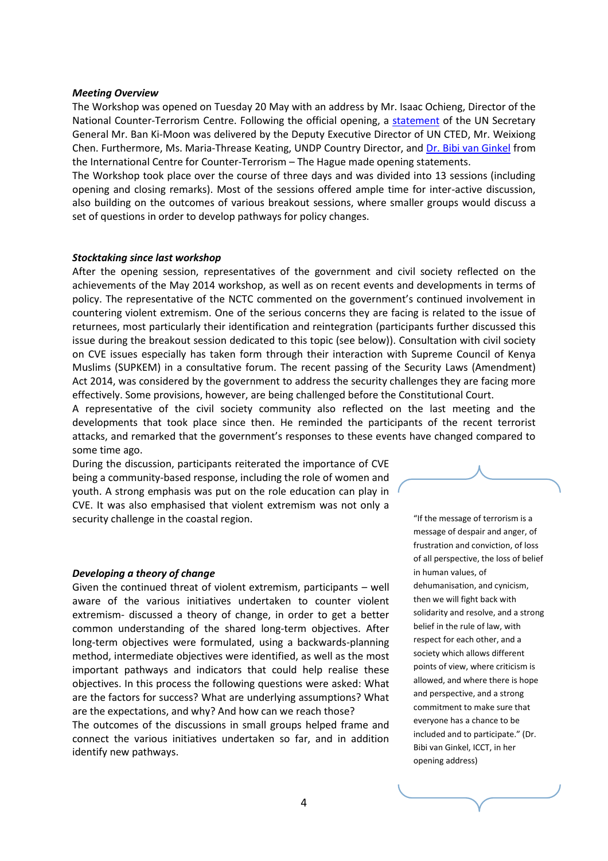#### *Meeting Overview*

The Workshop was opened on Tuesday 20 May with an address by Mr. Isaac Ochieng, Director of the National Counter-Terrorism Centre. Following the official opening, a [statement](http://www.un.org/en/sc/ctc/news/2015-01-22_mombasa_workshop.html) of the UN Secretary General Mr. Ban Ki-Moon was delivered by the Deputy Executive Director of UN CTED, Mr. Weixiong Chen. Furthermore, Ms. Maria-Threase Keating, UNDP Country Director, and [Dr. Bibi van Ginkel](http://www.icct.nl/download/file/Mombasa%20opening%20statement%20Bibi%20van%20Ginkel%20Final(1).pdf) from the International Centre for Counter-Terrorism – The Hague made opening statements.

The Workshop took place over the course of three days and was divided into 13 sessions (including opening and closing remarks). Most of the sessions offered ample time for inter-active discussion, also building on the outcomes of various breakout sessions, where smaller groups would discuss a set of questions in order to develop pathways for policy changes.

#### *Stocktaking since last workshop*

After the opening session, representatives of the government and civil society reflected on the achievements of the May 2014 workshop, as well as on recent events and developments in terms of policy. The representative of the NCTC commented on the government's continued involvement in countering violent extremism. One of the serious concerns they are facing is related to the issue of returnees, most particularly their identification and reintegration (participants further discussed this issue during the breakout session dedicated to this topic (see below)). Consultation with civil society on CVE issues especially has taken form through their interaction with Supreme Council of Kenya Muslims (SUPKEM) in a consultative forum. The recent passing of the Security Laws (Amendment) Act 2014, was considered by the government to address the security challenges they are facing more effectively. Some provisions, however, are being challenged before the Constitutional Court.

A representative of the civil society community also reflected on the last meeting and the developments that took place since then. He reminded the participants of the recent terrorist attacks, and remarked that the government's responses to these events have changed compared to some time ago.

During the discussion, participants reiterated the importance of CVE being a community-based response, including the role of women and youth. A strong emphasis was put on the role education can play in CVE. It was also emphasised that violent extremism was not only a security challenge in the coastal region.

#### *Developing a theory of change*

Given the continued threat of violent extremism, participants – well aware of the various initiatives undertaken to counter violent extremism- discussed a theory of change, in order to get a better common understanding of the shared long-term objectives. After long-term objectives were formulated, using a backwards-planning method, intermediate objectives were identified, as well as the most important pathways and indicators that could help realise these objectives. In this process the following questions were asked: What are the factors for success? What are underlying assumptions? What are the expectations, and why? And how can we reach those?

The outcomes of the discussions in small groups helped frame and connect the various initiatives undertaken so far, and in addition identify new pathways.

"If the message of terrorism is a message of despair and anger, of frustration and conviction, of loss of all perspective, the loss of belief in human values, of dehumanisation, and cynicism, then we will fight back with solidarity and resolve, and a strong belief in the rule of law, with respect for each other, and a society which allows different points of view, where criticism is allowed, and where there is hope and perspective, and a strong commitment to make sure that everyone has a chance to be included and to participate." (Dr. Bibi van Ginkel, ICCT, in her opening address)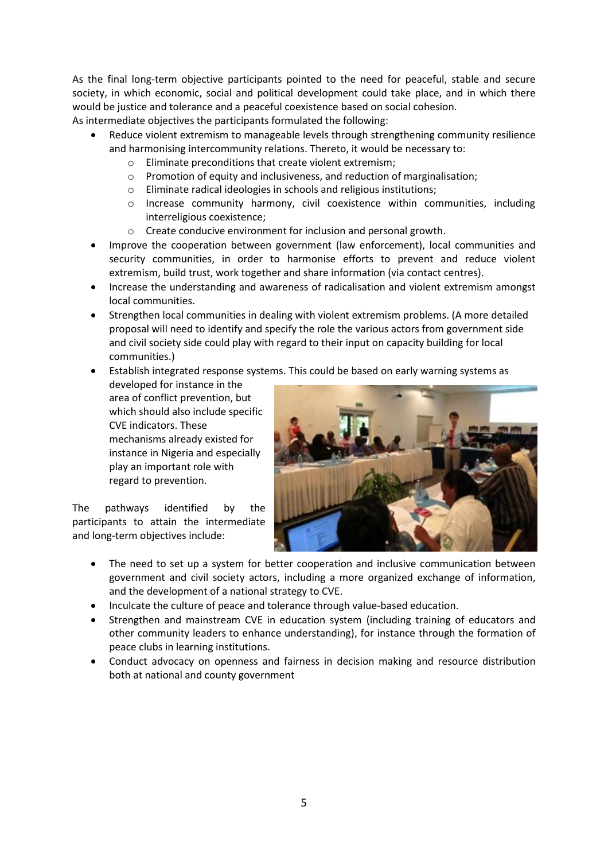As the final long-term objective participants pointed to the need for peaceful, stable and secure society, in which economic, social and political development could take place, and in which there would be justice and tolerance and a peaceful coexistence based on social cohesion.

As intermediate objectives the participants formulated the following:

- Reduce violent extremism to manageable levels through strengthening community resilience and harmonising intercommunity relations. Thereto, it would be necessary to:
	- o Eliminate preconditions that create violent extremism;
	- o Promotion of equity and inclusiveness, and reduction of marginalisation;
	- o Eliminate radical ideologies in schools and religious institutions;
	- o Increase community harmony, civil coexistence within communities, including interreligious coexistence;
	- o Create conducive environment for inclusion and personal growth.
- Improve the cooperation between government (law enforcement), local communities and security communities, in order to harmonise efforts to prevent and reduce violent extremism, build trust, work together and share information (via contact centres).
- Increase the understanding and awareness of radicalisation and violent extremism amongst local communities.
- Strengthen local communities in dealing with violent extremism problems. (A more detailed proposal will need to identify and specify the role the various actors from government side and civil society side could play with regard to their input on capacity building for local communities.)
- Establish integrated response systems. This could be based on early warning systems as

developed for instance in the area of conflict prevention, but which should also include specific CVE indicators. These mechanisms already existed for instance in Nigeria and especially play an important role with regard to prevention.

The pathways identified by the participants to attain the intermediate and long-term objectives include:



- The need to set up a system for better cooperation and inclusive communication between government and civil society actors, including a more organized exchange of information, and the development of a national strategy to CVE.
- Inculcate the culture of peace and tolerance through value-based education.
- Strengthen and mainstream CVE in education system (including training of educators and other community leaders to enhance understanding), for instance through the formation of peace clubs in learning institutions.
- Conduct advocacy on openness and fairness in decision making and resource distribution both at national and county government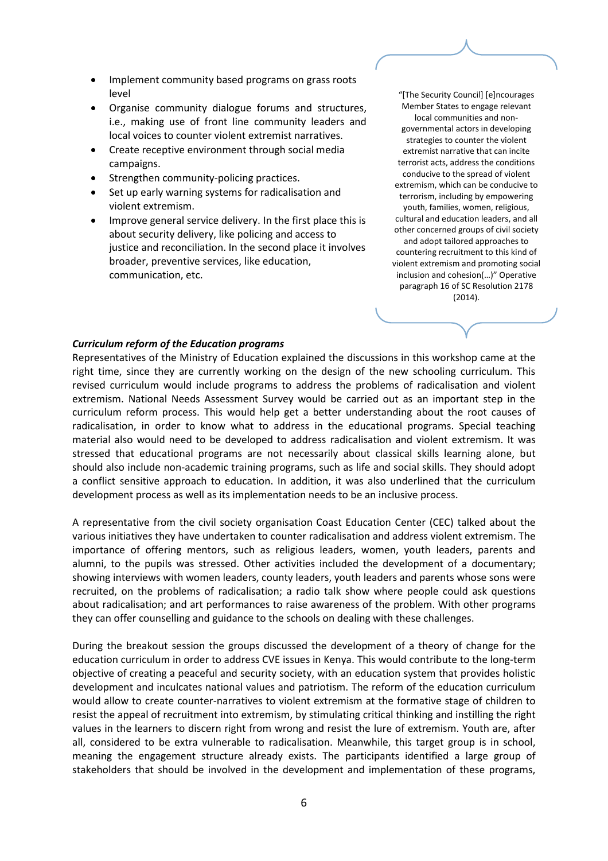- Implement community based programs on grass roots level
- Organise community dialogue forums and structures, i.e., making use of front line community leaders and local voices to counter violent extremist narratives.
- Create receptive environment through social media campaigns.
- Strengthen community-policing practices.
- Set up early warning systems for radicalisation and violent extremism.
- Improve general service delivery. In the first place this is about security delivery, like policing and access to justice and reconciliation. In the second place it involves broader, preventive services, like education, communication, etc.

"[The Security Council] [e]ncourages Member States to engage relevant local communities and nongovernmental actors in developing strategies to counter the violent extremist narrative that can incite terrorist acts, address the conditions conducive to the spread of violent extremism, which can be conducive to terrorism, including by empowering youth, families, women, religious, cultural and education leaders, and all other concerned groups of civil society and adopt tailored approaches to countering recruitment to this kind of violent extremism and promoting social inclusion and cohesion(…)" Operative paragraph 16 of SC Resolution 2178 (2014).

## *Curriculum reform of the Education programs*

Representatives of the Ministry of Education explained the discussions in this workshop came at the right time, since they are currently working on the design of the new schooling curriculum. This revised curriculum would include programs to address the problems of radicalisation and violent extremism. National Needs Assessment Survey would be carried out as an important step in the curriculum reform process. This would help get a better understanding about the root causes of radicalisation, in order to know what to address in the educational programs. Special teaching material also would need to be developed to address radicalisation and violent extremism. It was stressed that educational programs are not necessarily about classical skills learning alone, but should also include non-academic training programs, such as life and social skills. They should adopt a conflict sensitive approach to education. In addition, it was also underlined that the curriculum development process as well as its implementation needs to be an inclusive process.

A representative from the civil society organisation Coast Education Center (CEC) talked about the various initiatives they have undertaken to counter radicalisation and address violent extremism. The importance of offering mentors, such as religious leaders, women, youth leaders, parents and alumni, to the pupils was stressed. Other activities included the development of a documentary; showing interviews with women leaders, county leaders, youth leaders and parents whose sons were recruited, on the problems of radicalisation; a radio talk show where people could ask questions about radicalisation; and art performances to raise awareness of the problem. With other programs they can offer counselling and guidance to the schools on dealing with these challenges.

During the breakout session the groups discussed the development of a theory of change for the education curriculum in order to address CVE issues in Kenya. This would contribute to the long-term objective of creating a peaceful and security society, with an education system that provides holistic development and inculcates national values and patriotism. The reform of the education curriculum would allow to create counter-narratives to violent extremism at the formative stage of children to resist the appeal of recruitment into extremism, by stimulating critical thinking and instilling the right values in the learners to discern right from wrong and resist the lure of extremism. Youth are, after all, considered to be extra vulnerable to radicalisation. Meanwhile, this target group is in school, meaning the engagement structure already exists. The participants identified a large group of stakeholders that should be involved in the development and implementation of these programs,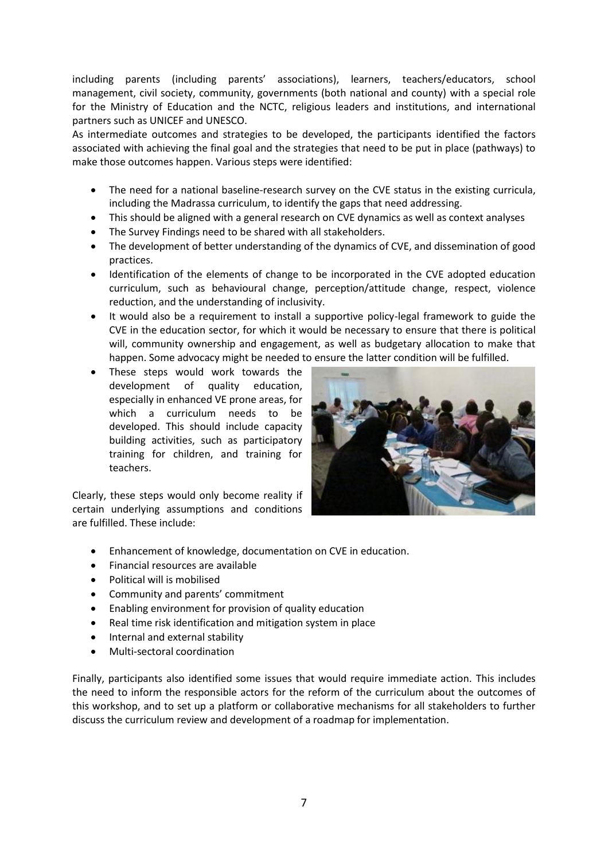including parents (including parents' associations), learners, teachers/educators, school management, civil society, community, governments (both national and county) with a special role for the Ministry of Education and the NCTC, religious leaders and institutions, and international partners such as UNICEF and UNESCO.

As intermediate outcomes and strategies to be developed, the participants identified the factors associated with achieving the final goal and the strategies that need to be put in place (pathways) to make those outcomes happen. Various steps were identified:

- The need for a national baseline-research survey on the CVE status in the existing curricula, including the Madrassa curriculum, to identify the gaps that need addressing.
- This should be aligned with a general research on CVE dynamics as well as context analyses
- The Survey Findings need to be shared with all stakeholders.
- The development of better understanding of the dynamics of CVE, and dissemination of good practices.
- Identification of the elements of change to be incorporated in the CVE adopted education curriculum, such as behavioural change, perception/attitude change, respect, violence reduction, and the understanding of inclusivity.
- It would also be a requirement to install a supportive policy-legal framework to guide the CVE in the education sector, for which it would be necessary to ensure that there is political will, community ownership and engagement, as well as budgetary allocation to make that happen. Some advocacy might be needed to ensure the latter condition will be fulfilled.
- These steps would work towards the development of quality education, especially in enhanced VE prone areas, for which a curriculum needs to be developed. This should include capacity building activities, such as participatory training for children, and training for teachers.

Clearly, these steps would only become reality if certain underlying assumptions and conditions are fulfilled. These include:



- Enhancement of knowledge, documentation on CVE in education.
- Financial resources are available
- Political will is mobilised
- Community and parents' commitment
- Enabling environment for provision of quality education
- Real time risk identification and mitigation system in place
- Internal and external stability
- Multi-sectoral coordination

Finally, participants also identified some issues that would require immediate action. This includes the need to inform the responsible actors for the reform of the curriculum about the outcomes of this workshop, and to set up a platform or collaborative mechanisms for all stakeholders to further discuss the curriculum review and development of a roadmap for implementation.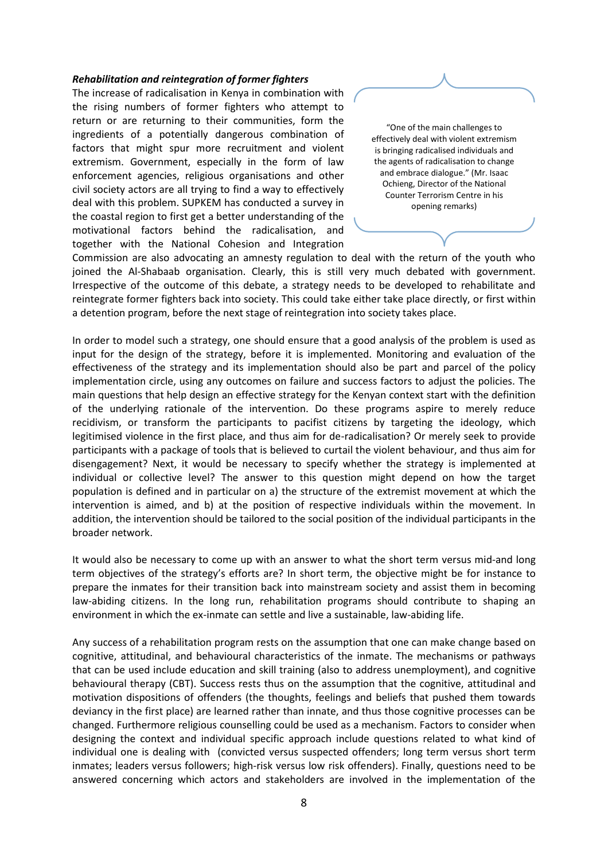#### *Rehabilitation and reintegration of former fighters*

The increase of radicalisation in Kenya in combination with the rising numbers of former fighters who attempt to return or are returning to their communities, form the ingredients of a potentially dangerous combination of factors that might spur more recruitment and violent extremism. Government, especially in the form of law enforcement agencies, religious organisations and other civil society actors are all trying to find a way to effectively deal with this problem. SUPKEM has conducted a survey in the coastal region to first get a better understanding of the motivational factors behind the radicalisation, and together with the National Cohesion and Integration



Commission are also advocating an amnesty regulation to deal with the return of the youth who joined the Al-Shabaab organisation. Clearly, this is still very much debated with government. Irrespective of the outcome of this debate, a strategy needs to be developed to rehabilitate and reintegrate former fighters back into society. This could take either take place directly, or first within a detention program, before the next stage of reintegration into society takes place.

In order to model such a strategy, one should ensure that a good analysis of the problem is used as input for the design of the strategy, before it is implemented. Monitoring and evaluation of the effectiveness of the strategy and its implementation should also be part and parcel of the policy implementation circle, using any outcomes on failure and success factors to adjust the policies. The main questions that help design an effective strategy for the Kenyan context start with the definition of the underlying rationale of the intervention. Do these programs aspire to merely reduce recidivism, or transform the participants to pacifist citizens by targeting the ideology, which legitimised violence in the first place, and thus aim for de-radicalisation? Or merely seek to provide participants with a package of tools that is believed to curtail the violent behaviour, and thus aim for disengagement? Next, it would be necessary to specify whether the strategy is implemented at individual or collective level? The answer to this question might depend on how the target population is defined and in particular on a) the structure of the extremist movement at which the intervention is aimed, and b) at the position of respective individuals within the movement. In addition, the intervention should be tailored to the social position of the individual participants in the broader network.

It would also be necessary to come up with an answer to what the short term versus mid-and long term objectives of the strategy's efforts are? In short term, the objective might be for instance to prepare the inmates for their transition back into mainstream society and assist them in becoming law-abiding citizens. In the long run, rehabilitation programs should contribute to shaping an environment in which the ex-inmate can settle and live a sustainable, law-abiding life.

Any success of a rehabilitation program rests on the assumption that one can make change based on cognitive, attitudinal, and behavioural characteristics of the inmate. The mechanisms or pathways that can be used include education and skill training (also to address unemployment), and cognitive behavioural therapy (CBT). Success rests thus on the assumption that the cognitive, attitudinal and motivation dispositions of offenders (the thoughts, feelings and beliefs that pushed them towards deviancy in the first place) are learned rather than innate, and thus those cognitive processes can be changed. Furthermore religious counselling could be used as a mechanism. Factors to consider when designing the context and individual specific approach include questions related to what kind of individual one is dealing with (convicted versus suspected offenders; long term versus short term inmates; leaders versus followers; high-risk versus low risk offenders). Finally, questions need to be answered concerning which actors and stakeholders are involved in the implementation of the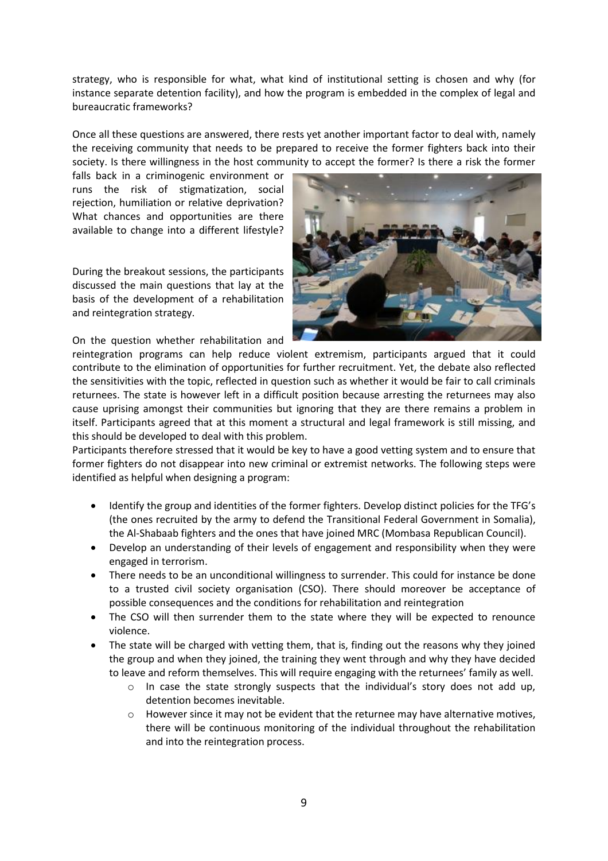strategy, who is responsible for what, what kind of institutional setting is chosen and why (for instance separate detention facility), and how the program is embedded in the complex of legal and bureaucratic frameworks?

Once all these questions are answered, there rests yet another important factor to deal with, namely the receiving community that needs to be prepared to receive the former fighters back into their society. Is there willingness in the host community to accept the former? Is there a risk the former

falls back in a criminogenic environment or runs the risk of stigmatization, social rejection, humiliation or relative deprivation? What chances and opportunities are there available to change into a different lifestyle?

During the breakout sessions, the participants discussed the main questions that lay at the basis of the development of a rehabilitation and reintegration strategy.

On the question whether rehabilitation and



reintegration programs can help reduce violent extremism, participants argued that it could contribute to the elimination of opportunities for further recruitment. Yet, the debate also reflected the sensitivities with the topic, reflected in question such as whether it would be fair to call criminals returnees. The state is however left in a difficult position because arresting the returnees may also cause uprising amongst their communities but ignoring that they are there remains a problem in itself. Participants agreed that at this moment a structural and legal framework is still missing, and this should be developed to deal with this problem.

Participants therefore stressed that it would be key to have a good vetting system and to ensure that former fighters do not disappear into new criminal or extremist networks. The following steps were identified as helpful when designing a program:

- Identify the group and identities of the former fighters. Develop distinct policies for the TFG's (the ones recruited by the army to defend the Transitional Federal Government in Somalia), the Al-Shabaab fighters and the ones that have joined MRC (Mombasa Republican Council).
- Develop an understanding of their levels of engagement and responsibility when they were engaged in terrorism.
- There needs to be an unconditional willingness to surrender. This could for instance be done to a trusted civil society organisation (CSO). There should moreover be acceptance of possible consequences and the conditions for rehabilitation and reintegration
- The CSO will then surrender them to the state where they will be expected to renounce violence.
- The state will be charged with vetting them, that is, finding out the reasons why they joined the group and when they joined, the training they went through and why they have decided to leave and reform themselves. This will require engaging with the returnees' family as well.
	- o In case the state strongly suspects that the individual's story does not add up, detention becomes inevitable.
	- $\circ$  However since it may not be evident that the returnee may have alternative motives, there will be continuous monitoring of the individual throughout the rehabilitation and into the reintegration process.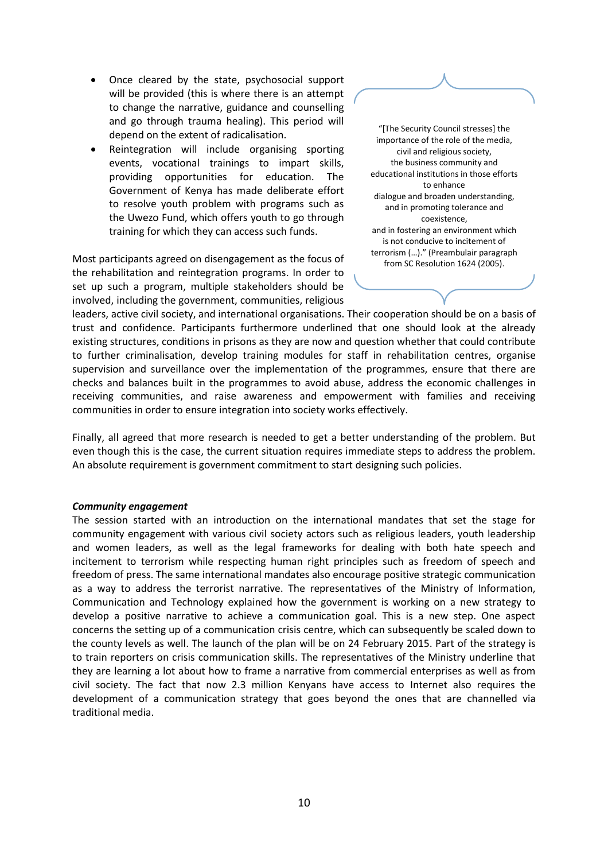- Once cleared by the state, psychosocial support will be provided (this is where there is an attempt to change the narrative, guidance and counselling and go through trauma healing). This period will depend on the extent of radicalisation.
- Reintegration will include organising sporting events, vocational trainings to impart skills, providing opportunities for education. The Government of Kenya has made deliberate effort to resolve youth problem with programs such as the Uwezo Fund, which offers youth to go through training for which they can access such funds.

Most participants agreed on disengagement as the focus of the rehabilitation and reintegration programs. In order to set up such a program, multiple stakeholders should be involved, including the government, communities, religious



leaders, active civil society, and international organisations. Their cooperation should be on a basis of trust and confidence. Participants furthermore underlined that one should look at the already existing structures, conditions in prisons as they are now and question whether that could contribute to further criminalisation, develop training modules for staff in rehabilitation centres, organise supervision and surveillance over the implementation of the programmes, ensure that there are checks and balances built in the programmes to avoid abuse, address the economic challenges in receiving communities, and raise awareness and empowerment with families and receiving communities in order to ensure integration into society works effectively.

Finally, all agreed that more research is needed to get a better understanding of the problem. But even though this is the case, the current situation requires immediate steps to address the problem. An absolute requirement is government commitment to start designing such policies.

## *Community engagement*

The session started with an introduction on the international mandates that set the stage for community engagement with various civil society actors such as religious leaders, youth leadership and women leaders, as well as the legal frameworks for dealing with both hate speech and incitement to terrorism while respecting human right principles such as freedom of speech and freedom of press. The same international mandates also encourage positive strategic communication as a way to address the terrorist narrative. The representatives of the Ministry of Information, Communication and Technology explained how the government is working on a new strategy to develop a positive narrative to achieve a communication goal. This is a new step. One aspect concerns the setting up of a communication crisis centre, which can subsequently be scaled down to the county levels as well. The launch of the plan will be on 24 February 2015. Part of the strategy is to train reporters on crisis communication skills. The representatives of the Ministry underline that they are learning a lot about how to frame a narrative from commercial enterprises as well as from civil society. The fact that now 2.3 million Kenyans have access to Internet also requires the development of a communication strategy that goes beyond the ones that are channelled via traditional media.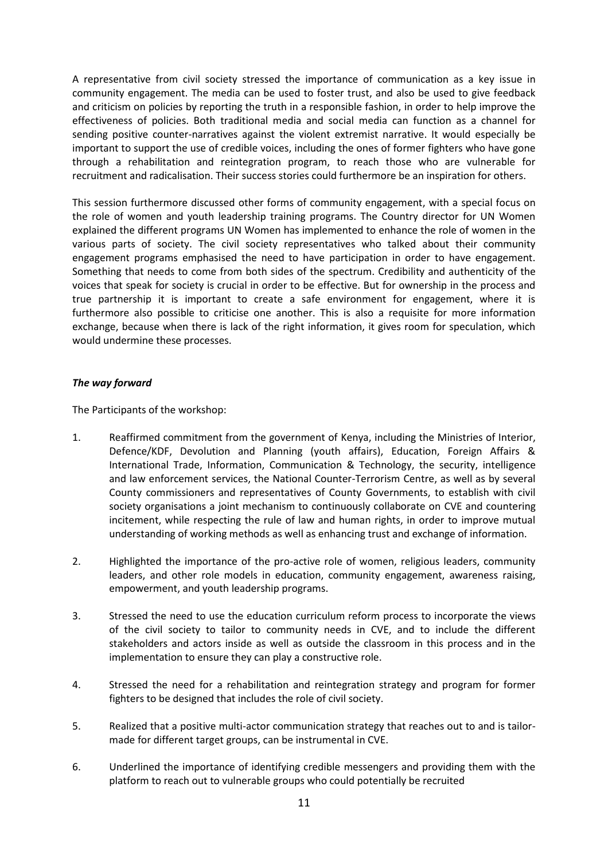A representative from civil society stressed the importance of communication as a key issue in community engagement. The media can be used to foster trust, and also be used to give feedback and criticism on policies by reporting the truth in a responsible fashion, in order to help improve the effectiveness of policies. Both traditional media and social media can function as a channel for sending positive counter-narratives against the violent extremist narrative. It would especially be important to support the use of credible voices, including the ones of former fighters who have gone through a rehabilitation and reintegration program, to reach those who are vulnerable for recruitment and radicalisation. Their success stories could furthermore be an inspiration for others.

This session furthermore discussed other forms of community engagement, with a special focus on the role of women and youth leadership training programs. The Country director for UN Women explained the different programs UN Women has implemented to enhance the role of women in the various parts of society. The civil society representatives who talked about their community engagement programs emphasised the need to have participation in order to have engagement. Something that needs to come from both sides of the spectrum. Credibility and authenticity of the voices that speak for society is crucial in order to be effective. But for ownership in the process and true partnership it is important to create a safe environment for engagement, where it is furthermore also possible to criticise one another. This is also a requisite for more information exchange, because when there is lack of the right information, it gives room for speculation, which would undermine these processes.

## *The way forward*

The Participants of the workshop:

- 1. Reaffirmed commitment from the government of Kenya, including the Ministries of Interior, Defence/KDF, Devolution and Planning (youth affairs), Education, Foreign Affairs & International Trade, Information, Communication & Technology, the security, intelligence and law enforcement services, the National Counter-Terrorism Centre, as well as by several County commissioners and representatives of County Governments, to establish with civil society organisations a joint mechanism to continuously collaborate on CVE and countering incitement, while respecting the rule of law and human rights, in order to improve mutual understanding of working methods as well as enhancing trust and exchange of information.
- 2. Highlighted the importance of the pro-active role of women, religious leaders, community leaders, and other role models in education, community engagement, awareness raising, empowerment, and youth leadership programs.
- 3. Stressed the need to use the education curriculum reform process to incorporate the views of the civil society to tailor to community needs in CVE, and to include the different stakeholders and actors inside as well as outside the classroom in this process and in the implementation to ensure they can play a constructive role.
- 4. Stressed the need for a rehabilitation and reintegration strategy and program for former fighters to be designed that includes the role of civil society.
- 5. Realized that a positive multi-actor communication strategy that reaches out to and is tailormade for different target groups, can be instrumental in CVE.
- 6. Underlined the importance of identifying credible messengers and providing them with the platform to reach out to vulnerable groups who could potentially be recruited